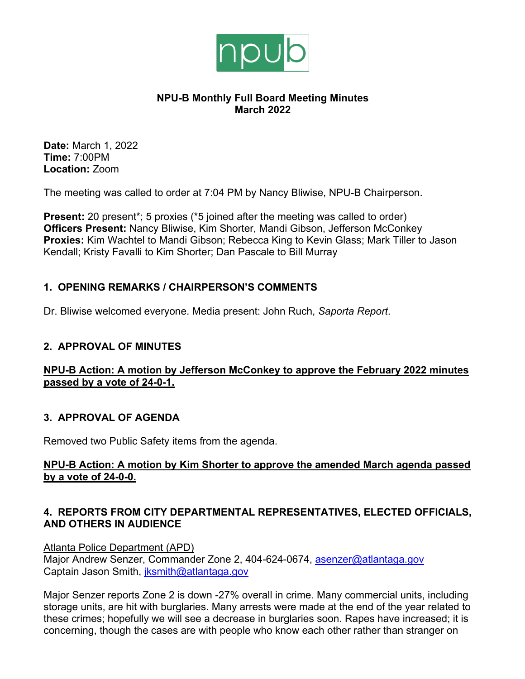

## **NPU-B Monthly Full Board Meeting Minutes March 2022**

**Date:** March 1, 2022 **Time:** 7:00PM **Location:** Zoom

The meeting was called to order at 7:04 PM by Nancy Bliwise, NPU-B Chairperson.

**Present:** 20 present<sup>\*</sup>; 5 proxies (<sup>\*</sup>5 joined after the meeting was called to order) **Officers Present:** Nancy Bliwise, Kim Shorter, Mandi Gibson, Jefferson McConkey **Proxies:** Kim Wachtel to Mandi Gibson; Rebecca King to Kevin Glass; Mark Tiller to Jason Kendall; Kristy Favalli to Kim Shorter; Dan Pascale to Bill Murray

# **1. OPENING REMARKS / CHAIRPERSON'S COMMENTS**

Dr. Bliwise welcomed everyone. Media present: John Ruch, *Saporta Report*.

# **2. APPROVAL OF MINUTES**

# **NPU-B Action: A motion by Jefferson McConkey to approve the February 2022 minutes passed by a vote of 24-0-1.**

# **3. APPROVAL OF AGENDA**

Removed two Public Safety items from the agenda.

## **NPU-B Action: A motion by Kim Shorter to approve the amended March agenda passed by a vote of 24-0-0.**

# **4. REPORTS FROM CITY DEPARTMENTAL REPRESENTATIVES, ELECTED OFFICIALS, AND OTHERS IN AUDIENCE**

Atlanta Police Department (APD) Major Andrew Senzer, Commander Zone 2, 404-624-0674, asenzer@atlantaga.gov Captain Jason Smith, jksmith@atlantaga.gov

Major Senzer reports Zone 2 is down -27% overall in crime. Many commercial units, including storage units, are hit with burglaries. Many arrests were made at the end of the year related to these crimes; hopefully we will see a decrease in burglaries soon. Rapes have increased; it is concerning, though the cases are with people who know each other rather than stranger on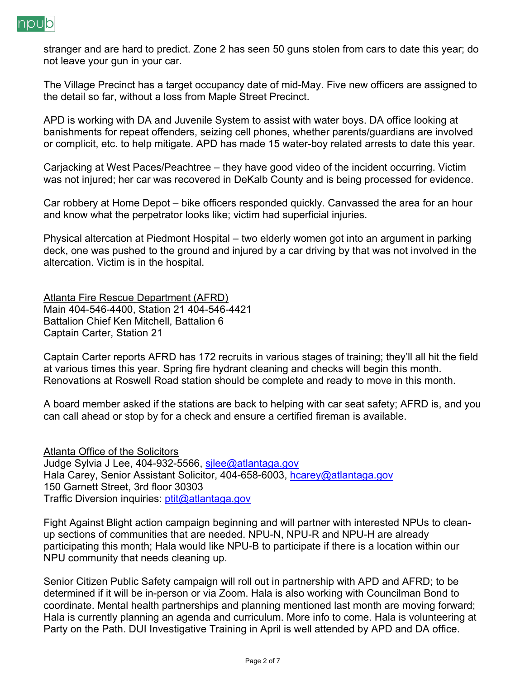

stranger and are hard to predict. Zone 2 has seen 50 guns stolen from cars to date this year; do not leave your gun in your car.

The Village Precinct has a target occupancy date of mid-May. Five new officers are assigned to the detail so far, without a loss from Maple Street Precinct.

APD is working with DA and Juvenile System to assist with water boys. DA office looking at banishments for repeat offenders, seizing cell phones, whether parents/guardians are involved or complicit, etc. to help mitigate. APD has made 15 water-boy related arrests to date this year.

Carjacking at West Paces/Peachtree – they have good video of the incident occurring. Victim was not injured; her car was recovered in DeKalb County and is being processed for evidence.

Car robbery at Home Depot – bike officers responded quickly. Canvassed the area for an hour and know what the perpetrator looks like; victim had superficial injuries.

Physical altercation at Piedmont Hospital – two elderly women got into an argument in parking deck, one was pushed to the ground and injured by a car driving by that was not involved in the altercation. Victim is in the hospital.

Atlanta Fire Rescue Department (AFRD) Main 404-546-4400, Station 21 404-546-4421 Battalion Chief Ken Mitchell, Battalion 6 Captain Carter, Station 21

Captain Carter reports AFRD has 172 recruits in various stages of training; they'll all hit the field at various times this year. Spring fire hydrant cleaning and checks will begin this month. Renovations at Roswell Road station should be complete and ready to move in this month.

A board member asked if the stations are back to helping with car seat safety; AFRD is, and you can call ahead or stop by for a check and ensure a certified fireman is available.

Atlanta Office of the Solicitors Judge Sylvia J Lee, 404-932-5566, silee@atlantaga.gov Hala Carey, Senior Assistant Solicitor, 404-658-6003, hcarey@atlantaga.gov 150 Garnett Street, 3rd floor 30303 Traffic Diversion inquiries: ptit@atlantaga.gov

Fight Against Blight action campaign beginning and will partner with interested NPUs to cleanup sections of communities that are needed. NPU-N, NPU-R and NPU-H are already participating this month; Hala would like NPU-B to participate if there is a location within our NPU community that needs cleaning up.

Senior Citizen Public Safety campaign will roll out in partnership with APD and AFRD; to be determined if it will be in-person or via Zoom. Hala is also working with Councilman Bond to coordinate. Mental health partnerships and planning mentioned last month are moving forward; Hala is currently planning an agenda and curriculum. More info to come. Hala is volunteering at Party on the Path. DUI Investigative Training in April is well attended by APD and DA office.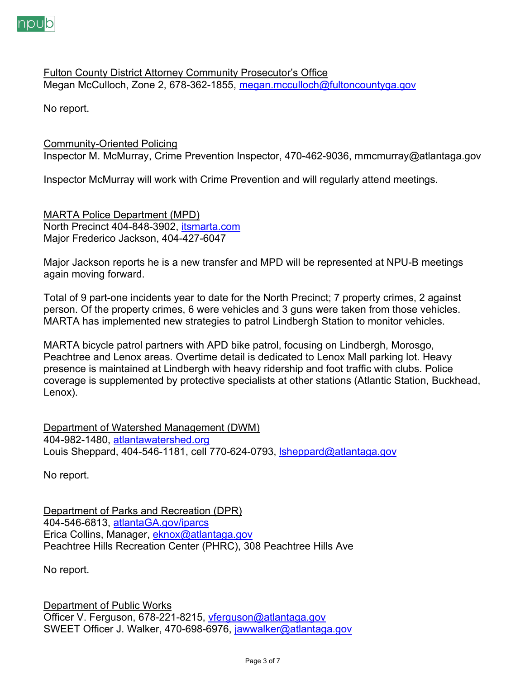

Fulton County District Attorney Community Prosecutor's Office Megan McCulloch, Zone 2, 678-362-1855, megan.mcculloch@fultoncountyga.gov

No report.

# Community-Oriented Policing

Inspector M. McMurray, Crime Prevention Inspector, 470-462-9036, mmcmurray@atlantaga.gov

Inspector McMurray will work with Crime Prevention and will regularly attend meetings.

MARTA Police Department (MPD) North Precinct 404-848-3902, itsmarta.com Major Frederico Jackson, 404-427-6047

Major Jackson reports he is a new transfer and MPD will be represented at NPU-B meetings again moving forward.

Total of 9 part-one incidents year to date for the North Precinct; 7 property crimes, 2 against person. Of the property crimes, 6 were vehicles and 3 guns were taken from those vehicles. MARTA has implemented new strategies to patrol Lindbergh Station to monitor vehicles.

MARTA bicycle patrol partners with APD bike patrol, focusing on Lindbergh, Morosgo, Peachtree and Lenox areas. Overtime detail is dedicated to Lenox Mall parking lot. Heavy presence is maintained at Lindbergh with heavy ridership and foot traffic with clubs. Police coverage is supplemented by protective specialists at other stations (Atlantic Station, Buckhead, Lenox).

Department of Watershed Management (DWM) 404-982-1480, atlantawatershed.org Louis Sheppard, 404-546-1181, cell 770-624-0793, *sheppard@atlantaga.gov* 

No report.

Department of Parks and Recreation (DPR) 404-546-6813, atlantaGA.gov/iparcs Erica Collins, Manager, eknox@atlantaga.gov Peachtree Hills Recreation Center (PHRC), 308 Peachtree Hills Ave

No report.

Department of Public Works Officer V. Ferguson, 678-221-8215, vferguson@atlantaga.gov SWEET Officer J. Walker, 470-698-6976, jawwalker@atlantaga.gov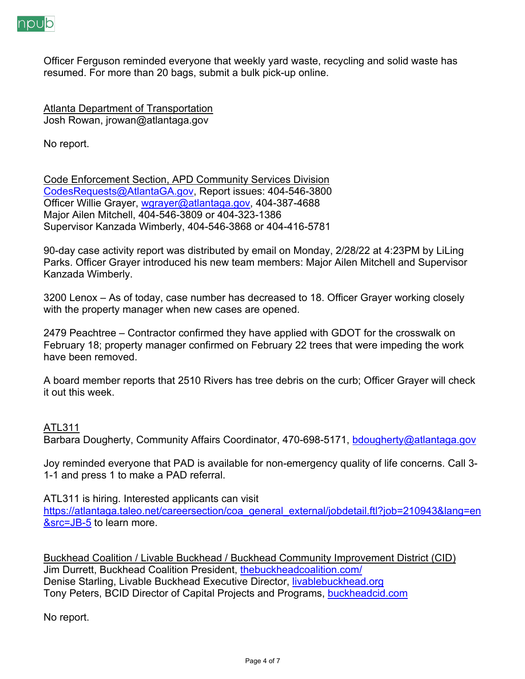

Officer Ferguson reminded everyone that weekly yard waste, recycling and solid waste has resumed. For more than 20 bags, submit a bulk pick-up online.

**Atlanta Department of Transportation** Josh Rowan, jrowan@atlantaga.gov

No report.

Code Enforcement Section, APD Community Services Division CodesRequests@AtlantaGA.gov, Report issues: 404-546-3800 Officer Willie Grayer, wgrayer@atlantaga.gov, 404-387-4688 Major Ailen Mitchell, 404-546-3809 or 404-323-1386 Supervisor Kanzada Wimberly, 404-546-3868 or 404-416-5781

90-day case activity report was distributed by email on Monday, 2/28/22 at 4:23PM by LiLing Parks. Officer Grayer introduced his new team members: Major Ailen Mitchell and Supervisor Kanzada Wimberly.

3200 Lenox – As of today, case number has decreased to 18. Officer Grayer working closely with the property manager when new cases are opened.

2479 Peachtree – Contractor confirmed they have applied with GDOT for the crosswalk on February 18; property manager confirmed on February 22 trees that were impeding the work have been removed.

A board member reports that 2510 Rivers has tree debris on the curb; Officer Grayer will check it out this week.

## ATL311

Barbara Dougherty, Community Affairs Coordinator, 470-698-5171, bdougherty@atlantaga.gov

Joy reminded everyone that PAD is available for non-emergency quality of life concerns. Call 3- 1-1 and press 1 to make a PAD referral.

ATL311 is hiring. Interested applicants can visit

https://atlantaga.taleo.net/careersection/coa\_general\_external/jobdetail.ftl?job=210943&lang=en &src=JB-5 to learn more.

Buckhead Coalition / Livable Buckhead / Buckhead Community Improvement District (CID) Jim Durrett, Buckhead Coalition President, thebuckheadcoalition.com/ Denise Starling, Livable Buckhead Executive Director, livablebuckhead.org Tony Peters, BCID Director of Capital Projects and Programs, buckheadcid.com

No report.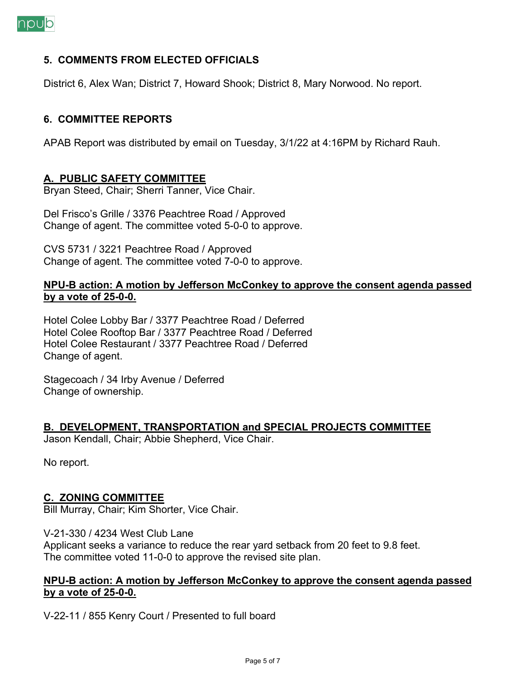

## **5. COMMENTS FROM ELECTED OFFICIALS**

District 6, Alex Wan; District 7, Howard Shook; District 8, Mary Norwood. No report.

### **6. COMMITTEE REPORTS**

APAB Report was distributed by email on Tuesday, 3/1/22 at 4:16PM by Richard Rauh.

### **A. PUBLIC SAFETY COMMITTEE**

Bryan Steed, Chair; Sherri Tanner, Vice Chair.

Del Frisco's Grille / 3376 Peachtree Road / Approved Change of agent. The committee voted 5-0-0 to approve.

CVS 5731 / 3221 Peachtree Road / Approved Change of agent. The committee voted 7-0-0 to approve.

### **NPU-B action: A motion by Jefferson McConkey to approve the consent agenda passed by a vote of 25-0-0.**

Hotel Colee Lobby Bar / 3377 Peachtree Road / Deferred Hotel Colee Rooftop Bar / 3377 Peachtree Road / Deferred Hotel Colee Restaurant / 3377 Peachtree Road / Deferred Change of agent.

Stagecoach / 34 Irby Avenue / Deferred Change of ownership.

#### **B. DEVELOPMENT, TRANSPORTATION and SPECIAL PROJECTS COMMITTEE**

Jason Kendall, Chair; Abbie Shepherd, Vice Chair.

No report.

#### **C. ZONING COMMITTEE**

Bill Murray, Chair; Kim Shorter, Vice Chair.

V-21-330 / 4234 West Club Lane

Applicant seeks a variance to reduce the rear yard setback from 20 feet to 9.8 feet. The committee voted 11-0-0 to approve the revised site plan.

#### **NPU-B action: A motion by Jefferson McConkey to approve the consent agenda passed by a vote of 25-0-0.**

V-22-11 / 855 Kenry Court / Presented to full board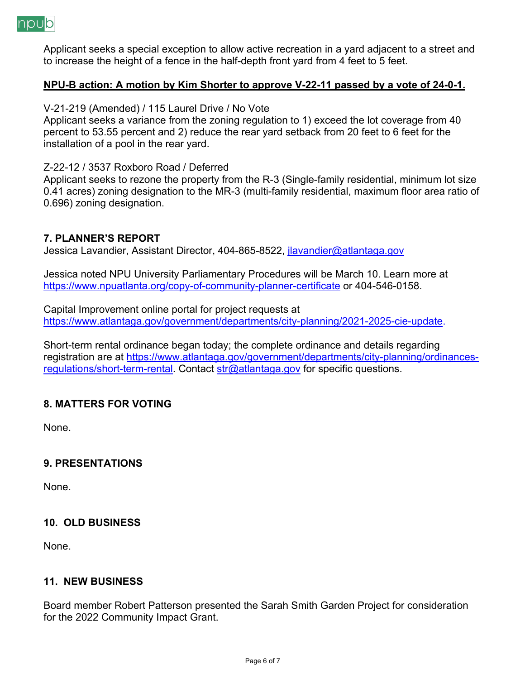

Applicant seeks a special exception to allow active recreation in a yard adjacent to a street and to increase the height of a fence in the half-depth front yard from 4 feet to 5 feet.

### **NPU-B action: A motion by Kim Shorter to approve V-22-11 passed by a vote of 24-0-1.**

V-21-219 (Amended) / 115 Laurel Drive / No Vote

Applicant seeks a variance from the zoning regulation to 1) exceed the lot coverage from 40 percent to 53.55 percent and 2) reduce the rear yard setback from 20 feet to 6 feet for the installation of a pool in the rear yard.

#### Z-22-12 / 3537 Roxboro Road / Deferred

Applicant seeks to rezone the property from the R-3 (Single-family residential, minimum lot size 0.41 acres) zoning designation to the MR-3 (multi-family residential, maximum floor area ratio of 0.696) zoning designation.

## **7. PLANNER'S REPORT**

Jessica Lavandier, Assistant Director, 404-865-8522, jlavandier@atlantaga.gov

Jessica noted NPU University Parliamentary Procedures will be March 10. Learn more at https://www.npuatlanta.org/copy-of-community-planner-certificate or 404-546-0158.

Capital Improvement online portal for project requests at https://www.atlantaga.gov/government/departments/city-planning/2021-2025-cie-update.

Short-term rental ordinance began today; the complete ordinance and details regarding registration are at https://www.atlantaga.gov/government/departments/city-planning/ordinancesregulations/short-term-rental. Contact str@atlantaga.gov for specific questions.

## **8. MATTERS FOR VOTING**

None.

## **9. PRESENTATIONS**

None.

## **10. OLD BUSINESS**

None.

## **11. NEW BUSINESS**

Board member Robert Patterson presented the Sarah Smith Garden Project for consideration for the 2022 Community Impact Grant.